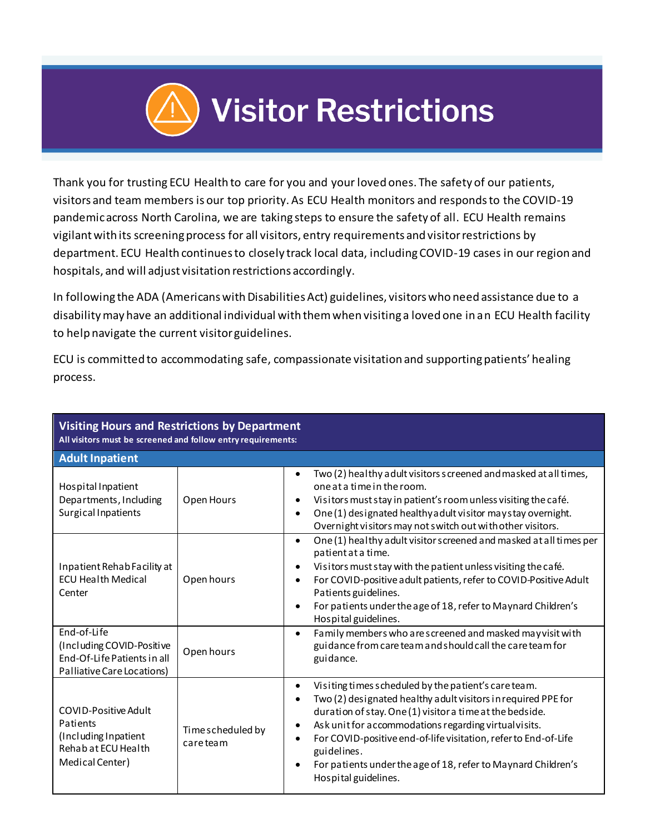

Thank you for trusting ECU Health to care for you and your loved ones. The safety of our patients, visitors and team members is our top priority. As ECU Health monitors and responds to the COVID-19 pandemic across North Carolina, we are taking steps to ensure the safety of all. ECU Health remains vigilant with its screening process for all visitors, entry requirements and visitor restrictions by department. ECU Health continues to closely track local data, including COVID-19 cases in our region and hospitals, and will adjust visitation restrictions accordingly.

In following the ADA (Americans with Disabilities Act) guidelines, visitors who need assistance due to a disability may have an additional individual with them when visiting a loved one in an ECU Health facility to help navigate the current visitor guidelines.

ECU is committed to accommodating safe, compassionate visitation and supporting patients' healing process.

| <b>Visiting Hours and Restrictions by Department</b><br>All visitors must be screened and follow entry requirements: |                               |                                                                                                                                                                                                                                                                                                                                                                                                                                    |  |
|----------------------------------------------------------------------------------------------------------------------|-------------------------------|------------------------------------------------------------------------------------------------------------------------------------------------------------------------------------------------------------------------------------------------------------------------------------------------------------------------------------------------------------------------------------------------------------------------------------|--|
| <b>Adult Inpatient</b>                                                                                               |                               |                                                                                                                                                                                                                                                                                                                                                                                                                                    |  |
| Hospital Inpatient<br>Departments, Including<br>Surgical Inpatients                                                  | Open Hours                    | Two (2) healthy adult visitors screened and masked at all times,<br>one at a time in the room.<br>Visitors must stay in patient's room unless visiting the café.<br>One (1) designated healthy a dult visitor may stay overnight.<br>٠<br>Overnight visitors may not switch out with other visitors.                                                                                                                               |  |
| Inpatient Rehab Facility at<br><b>ECU Health Medical</b><br>Center                                                   | Open hours                    | One (1) healthy adult visitor screened and masked at all times per<br>$\bullet$<br>patient at a time.<br>Visitors must stay with the patient unless visiting the café.<br>For COVID-positive adult patients, refer to COVID-Positive Adult<br>Patients guidelines.<br>For patients under the age of 18, refer to Maynard Children's<br>Hospital guidelines.                                                                        |  |
| End-of-Life<br>(Including COVID-Positive<br>End-Of-Life Patients in all<br>Palliative Care Locations)                | Open hours                    | Family members who are screened and masked may visit with<br>$\bullet$<br>guidance from care team and should call the care team for<br>guidance.                                                                                                                                                                                                                                                                                   |  |
| <b>COVID-Positive Adult</b><br>Patients<br>(Including Inpatient<br>Rehab at ECU Health<br>Medical Center)            | Time scheduled by<br>careteam | Visiting times scheduled by the patient's care team.<br>$\bullet$<br>Two (2) designated healthy adult visitors in required PPE for<br>duration of stay. One (1) visitor a time at the bedside.<br>Ask unit for accommodations regarding virtual visits.<br>For COVID-positive end-of-life visitation, refer to End-of-Life<br>guidelines.<br>For patients under the age of 18, refer to Maynard Children's<br>Hospital guidelines. |  |